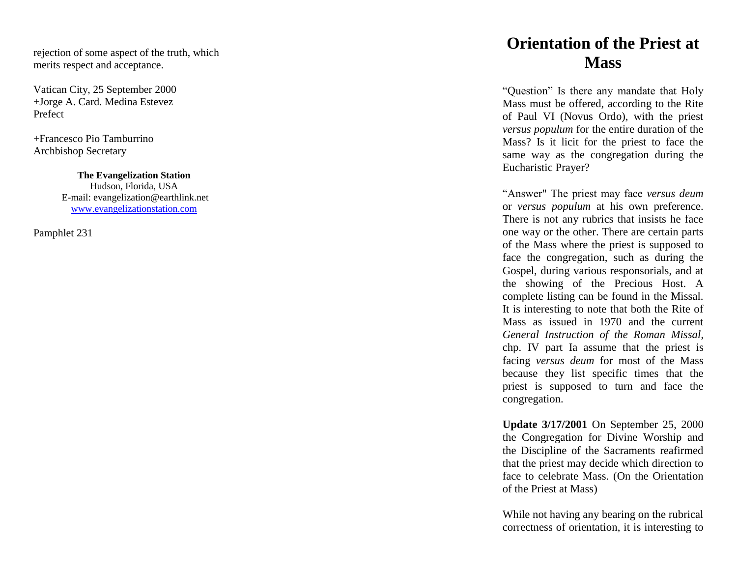rejection of some aspect of the truth , which merits respect and acceptance.

Vatican City, 25 September 2000 +Jorge A. Card. Medina Estevez Prefect

+Francesco Pio Tamburrino Archbishop Secretary

> **The Evangelization Station** Hudson, Florida, USA E -mail: evangelization@earthlink.net [www.evangelizationstation.com](http://www.pjpiisoe.org/)

Pamphlet 231

## **Orientation of the Priest at Mass**

"Question" Is there any mandate that Holy Mass must be offered, according to the Rite of Paul VI (Novus Ordo), with the priest *versus populum* for the entire duration of the Mass? Is it licit for the priest to face the same way as the congregation during the Eucharistic Prayer?

"Answer" The priest may face *versus deum*  or *versus populum* at his own preference. There is not any rubrics that insists he face one way or the other. There are certain parts of the Mass where the priest is supposed to face the congregation, such as during the Gospel, during various responsorials, and at the showing of the Precious Host. A complete listing can be found in the Missal. It is interesting to note that both the Rite of Mass as issued in 1970 and the current *General Instruction of the Roman Missal*, chp. IV part Ia assume that the priest is facing *versus deum* for most of the Mass because they list specific times that the priest is supposed to turn and face the congregation.

**Update 3/17/2001** On September 25, 2000 the Congregation for Divine Worship and the Discipline of the Sacraments reafirmed that the priest may decide which direction to face to celebrate Mass. (On the Orientation of the Priest at Mass)

While not having any bearing on the rubrical correctness of orientation, it is interesting to